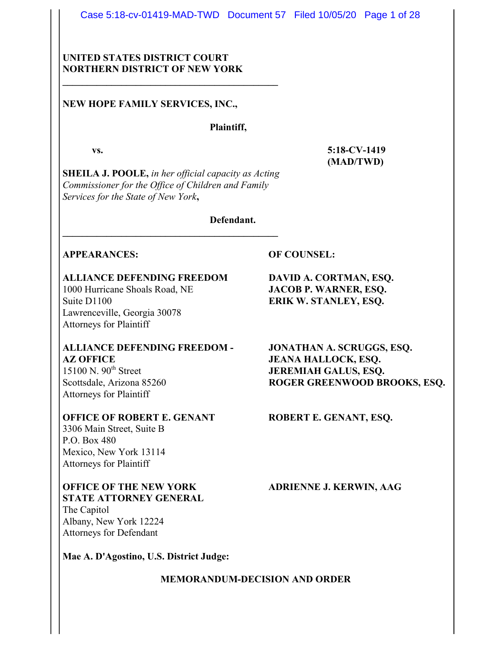Case 5:18-cv-01419-MAD-TWD Document 57 Filed 10/05/20 Page 1 of 28

# UNITED STATES DISTRICT COURT NORTHERN DISTRICT OF NEW YORK

\_\_\_\_\_\_\_\_\_\_\_\_\_\_\_\_\_\_\_\_\_\_\_\_\_\_\_\_\_\_\_\_\_\_\_\_\_\_\_\_\_\_\_\_

### NEW HOPE FAMILY SERVICES, INC.,

### Plaintiff,

SHEILA J. POOLE, in her official capacity as Acting Commissioner for the Office of Children and Family Services for the State of New York,

\_\_\_\_\_\_\_\_\_\_\_\_\_\_\_\_\_\_\_\_\_\_\_\_\_\_\_\_\_\_\_\_\_\_\_\_\_\_\_\_\_\_\_\_

Defendant.

### APPEARANCES: OF COUNSEL:

# ALLIANCE DEFENDING FREEDOM DAVID A. CORTMAN, ESQ.

Suite D1100 ERIK W. STANLEY, ESQ. Lawrenceville, Georgia 30078 Attorneys for Plaintiff

### ALLIANCE DEFENDING FREEDOM - JONATHAN A. SCRUGGS, ESQ. AZ OFFICE JEANA HALLOCK, ESQ. 15100 N. 90<sup>th</sup> Street **JEREMIAH GALUS, ESQ.**

Attorneys for Plaintiff

### OFFICE OF ROBERT E. GENANT ROBERT E. GENANT, ESQ.

3306 Main Street, Suite B P.O. Box 480 Mexico, New York 13114 Attorneys for Plaintiff

### OFFICE OF THE NEW YORK ADRIENNE J. KERWIN, AAG STATE ATTORNEY GENERAL

The Capitol Albany, New York 12224 Attorneys for Defendant

Mae A. D'Agostino, U.S. District Judge:

MEMORANDUM-DECISION AND ORDER

1000 Hurricane Shoals Road, NE JACOB P. WARNER, ESQ.

Scottsdale, Arizona 85260 ROGER GREENWOOD BROOKS, ESQ.

vs. 5:18-CV-1419 (MAD/TWD)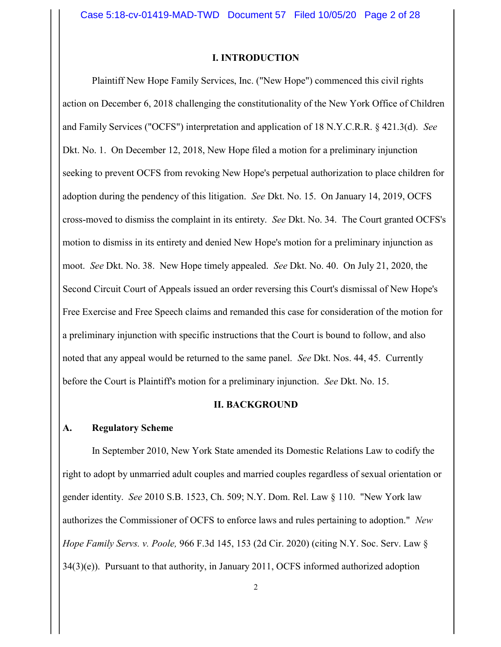#### I. INTRODUCTION

Plaintiff New Hope Family Services, Inc. ("New Hope") commenced this civil rights action on December 6, 2018 challenging the constitutionality of the New York Office of Children and Family Services ("OCFS") interpretation and application of 18 N.Y.C.R.R. § 421.3(d). See Dkt. No. 1. On December 12, 2018, New Hope filed a motion for a preliminary injunction seeking to prevent OCFS from revoking New Hope's perpetual authorization to place children for adoption during the pendency of this litigation. See Dkt. No. 15. On January 14, 2019, OCFS cross-moved to dismiss the complaint in its entirety. See Dkt. No. 34. The Court granted OCFS's motion to dismiss in its entirety and denied New Hope's motion for a preliminary injunction as moot. See Dkt. No. 38. New Hope timely appealed. See Dkt. No. 40. On July 21, 2020, the Second Circuit Court of Appeals issued an order reversing this Court's dismissal of New Hope's Free Exercise and Free Speech claims and remanded this case for consideration of the motion for a preliminary injunction with specific instructions that the Court is bound to follow, and also noted that any appeal would be returned to the same panel. *See Dkt*. Nos. 44, 45. Currently before the Court is Plaintiff's motion for a preliminary injunction. See Dkt. No. 15.

#### II. BACKGROUND

### A. Regulatory Scheme

In September 2010, New York State amended its Domestic Relations Law to codify the right to adopt by unmarried adult couples and married couples regardless of sexual orientation or gender identity. See 2010 S.B. 1523, Ch. 509; N.Y. Dom. Rel. Law § 110. "New York law authorizes the Commissioner of OCFS to enforce laws and rules pertaining to adoption." New Hope Family Servs. v. Poole, 966 F.3d 145, 153 (2d Cir. 2020) (citing N.Y. Soc. Serv. Law §  $34(3)(e)$ ). Pursuant to that authority, in January 2011, OCFS informed authorized adoption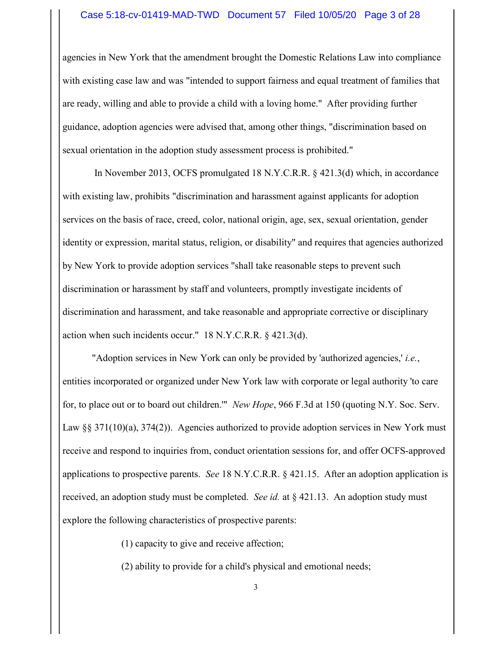#### Case 5:18-cv-01419-MAD-TWD Document 57 Filed 10/05/20 Page 3 of 28

agencies in New York that the amendment brought the Domestic Relations Law into compliance with existing case law and was "intended to support fairness and equal treatment of families that are ready, willing and able to provide a child with a loving home." After providing further guidance, adoption agencies were advised that, among other things, "discrimination based on sexual orientation in the adoption study assessment process is prohibited."

 In November 2013, OCFS promulgated 18 N.Y.C.R.R. § 421.3(d) which, in accordance with existing law, prohibits "discrimination and harassment against applicants for adoption services on the basis of race, creed, color, national origin, age, sex, sexual orientation, gender identity or expression, marital status, religion, or disability" and requires that agencies authorized by New York to provide adoption services "shall take reasonable steps to prevent such discrimination or harassment by staff and volunteers, promptly investigate incidents of discrimination and harassment, and take reasonable and appropriate corrective or disciplinary action when such incidents occur." 18 N.Y.C.R.R. § 421.3(d).

"Adoption services in New York can only be provided by 'authorized agencies,' i.e., entities incorporated or organized under New York law with corporate or legal authority 'to care for, to place out or to board out children.'" New Hope, 966 F.3d at 150 (quoting N.Y. Soc. Serv. Law §§ 371(10)(a), 374(2)). Agencies authorized to provide adoption services in New York must receive and respond to inquiries from, conduct orientation sessions for, and offer OCFS-approved applications to prospective parents. See 18 N.Y.C.R.R. § 421.15. After an adoption application is received, an adoption study must be completed. See id. at  $\S$  421.13. An adoption study must explore the following characteristics of prospective parents:

(1) capacity to give and receive affection;

(2) ability to provide for a child's physical and emotional needs;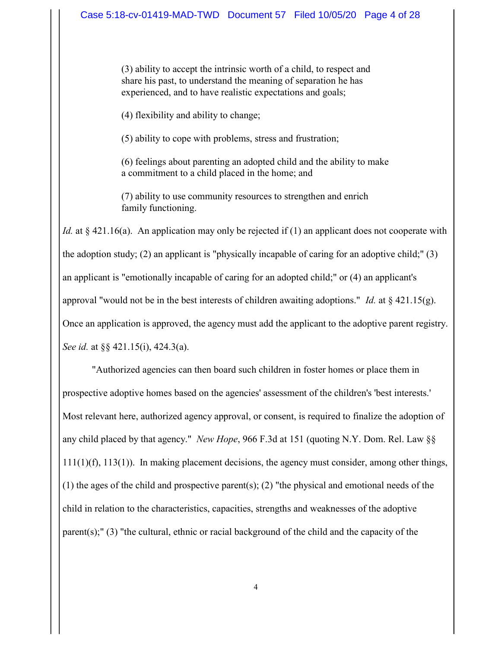(3) ability to accept the intrinsic worth of a child, to respect and share his past, to understand the meaning of separation he has experienced, and to have realistic expectations and goals;

(4) flexibility and ability to change;

(5) ability to cope with problems, stress and frustration;

(6) feelings about parenting an adopted child and the ability to make a commitment to a child placed in the home; and

(7) ability to use community resources to strengthen and enrich family functioning.

Id. at  $\S$  421.16(a). An application may only be rejected if (1) an applicant does not cooperate with the adoption study; (2) an applicant is "physically incapable of caring for an adoptive child;" (3) an applicant is "emotionally incapable of caring for an adopted child;" or (4) an applicant's approval "would not be in the best interests of children awaiting adoptions." Id. at  $\S$  421.15(g). Once an application is approved, the agency must add the applicant to the adoptive parent registry. See id. at  $\S$  421.15(i), 424.3(a).

"Authorized agencies can then board such children in foster homes or place them in prospective adoptive homes based on the agencies' assessment of the children's 'best interests.' Most relevant here, authorized agency approval, or consent, is required to finalize the adoption of any child placed by that agency." New Hope, 966 F.3d at 151 (quoting N.Y. Dom. Rel. Law §§ 111(1)(f), 113(1)). In making placement decisions, the agency must consider, among other things, (1) the ages of the child and prospective parent(s); (2) "the physical and emotional needs of the child in relation to the characteristics, capacities, strengths and weaknesses of the adoptive parent(s);" (3) "the cultural, ethnic or racial background of the child and the capacity of the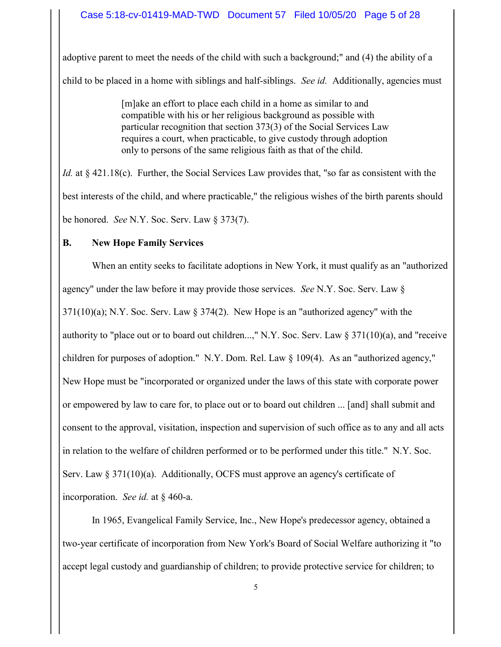adoptive parent to meet the needs of the child with such a background;" and (4) the ability of a child to be placed in a home with siblings and half-siblings. See id. Additionally, agencies must

> [m]ake an effort to place each child in a home as similar to and compatible with his or her religious background as possible with particular recognition that section 373(3) of the Social Services Law requires a court, when practicable, to give custody through adoption only to persons of the same religious faith as that of the child.

Id. at § 421.18(c). Further, the Social Services Law provides that, "so far as consistent with the best interests of the child, and where practicable," the religious wishes of the birth parents should be honored. See N.Y. Soc. Serv. Law § 373(7).

### B. New Hope Family Services

When an entity seeks to facilitate adoptions in New York, it must qualify as an "authorized agency" under the law before it may provide those services. See N.Y. Soc. Serv. Law §  $371(10)(a)$ ; N.Y. Soc. Serv. Law  $\S 374(2)$ . New Hope is an "authorized agency" with the authority to "place out or to board out children...," N.Y. Soc. Serv. Law  $\S 371(10)(a)$ , and "receive children for purposes of adoption." N.Y. Dom. Rel. Law  $\S$  109(4). As an "authorized agency," New Hope must be "incorporated or organized under the laws of this state with corporate power or empowered by law to care for, to place out or to board out children ... [and] shall submit and consent to the approval, visitation, inspection and supervision of such office as to any and all acts in relation to the welfare of children performed or to be performed under this title." N.Y. Soc. Serv. Law § 371(10)(a). Additionally, OCFS must approve an agency's certificate of incorporation. See id. at § 460-a.

In 1965, Evangelical Family Service, Inc., New Hope's predecessor agency, obtained a two-year certificate of incorporation from New York's Board of Social Welfare authorizing it "to accept legal custody and guardianship of children; to provide protective service for children; to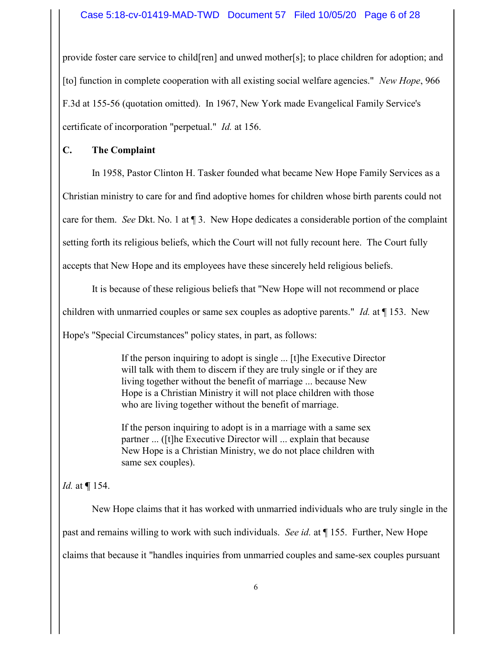### Case 5:18-cv-01419-MAD-TWD Document 57 Filed 10/05/20 Page 6 of 28

provide foster care service to child[ren] and unwed mother[s]; to place children for adoption; and [to] function in complete cooperation with all existing social welfare agencies." New Hope, 966 F.3d at 155-56 (quotation omitted). In 1967, New York made Evangelical Family Service's certificate of incorporation "perpetual." Id. at 156.

### C. The Complaint

In 1958, Pastor Clinton H. Tasker founded what became New Hope Family Services as a

Christian ministry to care for and find adoptive homes for children whose birth parents could not

care for them. See Dkt. No. 1 at ¶ 3. New Hope dedicates a considerable portion of the complaint

setting forth its religious beliefs, which the Court will not fully recount here. The Court fully

accepts that New Hope and its employees have these sincerely held religious beliefs.

It is because of these religious beliefs that "New Hope will not recommend or place

children with unmarried couples or same sex couples as adoptive parents." Id. at  $\P$  153. New

Hope's "Special Circumstances" policy states, in part, as follows:

If the person inquiring to adopt is single ... [t]he Executive Director will talk with them to discern if they are truly single or if they are living together without the benefit of marriage ... because New Hope is a Christian Ministry it will not place children with those who are living together without the benefit of marriage.

If the person inquiring to adopt is in a marriage with a same sex partner ... ([t]he Executive Director will ... explain that because New Hope is a Christian Ministry, we do not place children with same sex couples).

# *Id.* at  $\P$  154.

New Hope claims that it has worked with unmarried individuals who are truly single in the past and remains willing to work with such individuals. See id. at ¶ 155. Further, New Hope claims that because it "handles inquiries from unmarried couples and same-sex couples pursuant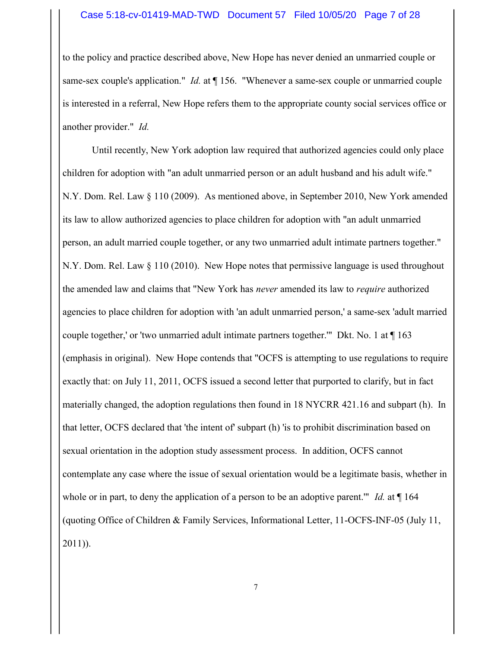#### Case 5:18-cv-01419-MAD-TWD Document 57 Filed 10/05/20 Page 7 of 28

to the policy and practice described above, New Hope has never denied an unmarried couple or same-sex couple's application." *Id.* at  $\P$  156. "Whenever a same-sex couple or unmarried couple is interested in a referral, New Hope refers them to the appropriate county social services office or another provider." Id.

Until recently, New York adoption law required that authorized agencies could only place children for adoption with "an adult unmarried person or an adult husband and his adult wife." N.Y. Dom. Rel. Law § 110 (2009). As mentioned above, in September 2010, New York amended its law to allow authorized agencies to place children for adoption with "an adult unmarried person, an adult married couple together, or any two unmarried adult intimate partners together." N.Y. Dom. Rel. Law § 110 (2010). New Hope notes that permissive language is used throughout the amended law and claims that "New York has never amended its law to require authorized agencies to place children for adoption with 'an adult unmarried person,' a same-sex 'adult married couple together,' or 'two unmarried adult intimate partners together.'" Dkt. No. 1 at ¶ 163 (emphasis in original). New Hope contends that "OCFS is attempting to use regulations to require exactly that: on July 11, 2011, OCFS issued a second letter that purported to clarify, but in fact materially changed, the adoption regulations then found in 18 NYCRR 421.16 and subpart (h). In that letter, OCFS declared that 'the intent of' subpart (h) 'is to prohibit discrimination based on sexual orientation in the adoption study assessment process. In addition, OCFS cannot contemplate any case where the issue of sexual orientation would be a legitimate basis, whether in whole or in part, to deny the application of a person to be an adoptive parent." Id. at  $\P$  164 (quoting Office of Children & Family Services, Informational Letter, 11-OCFS-INF-05 (July 11, 2011)).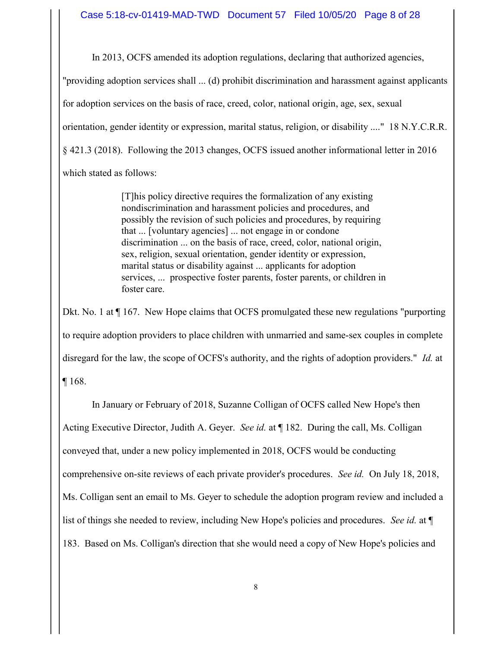In 2013, OCFS amended its adoption regulations, declaring that authorized agencies, "providing adoption services shall ... (d) prohibit discrimination and harassment against applicants for adoption services on the basis of race, creed, color, national origin, age, sex, sexual orientation, gender identity or expression, marital status, religion, or disability ...." 18 N.Y.C.R.R. § 421.3 (2018). Following the 2013 changes, OCFS issued another informational letter in 2016 which stated as follows:

> [T]his policy directive requires the formalization of any existing nondiscrimination and harassment policies and procedures, and possibly the revision of such policies and procedures, by requiring that ... [voluntary agencies] ... not engage in or condone discrimination ... on the basis of race, creed, color, national origin, sex, religion, sexual orientation, gender identity or expression, marital status or disability against ... applicants for adoption services, ... prospective foster parents, foster parents, or children in foster care.

Dkt. No. 1 at  $\P$  167. New Hope claims that OCFS promulgated these new regulations "purporting to require adoption providers to place children with unmarried and same-sex couples in complete disregard for the law, the scope of OCFS's authority, and the rights of adoption providers." Id. at ¶ 168.

In January or February of 2018, Suzanne Colligan of OCFS called New Hope's then Acting Executive Director, Judith A. Geyer. See id. at ¶ 182. During the call, Ms. Colligan conveyed that, under a new policy implemented in 2018, OCFS would be conducting comprehensive on-site reviews of each private provider's procedures. See id. On July 18, 2018, Ms. Colligan sent an email to Ms. Geyer to schedule the adoption program review and included a list of things she needed to review, including New Hope's policies and procedures. See id. at  $\P$ 183. Based on Ms. Colligan's direction that she would need a copy of New Hope's policies and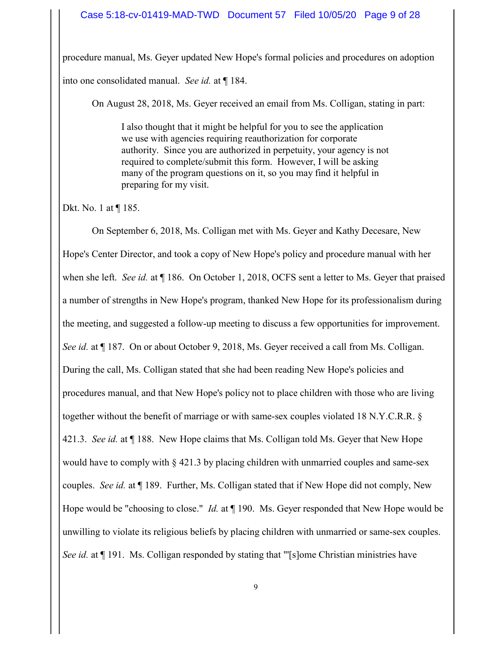procedure manual, Ms. Geyer updated New Hope's formal policies and procedures on adoption into one consolidated manual. See id. at ¶ 184.

On August 28, 2018, Ms. Geyer received an email from Ms. Colligan, stating in part:

I also thought that it might be helpful for you to see the application we use with agencies requiring reauthorization for corporate authority. Since you are authorized in perpetuity, your agency is not required to complete/submit this form. However, I will be asking many of the program questions on it, so you may find it helpful in preparing for my visit.

Dkt. No. 1 at ¶ 185.

On September 6, 2018, Ms. Colligan met with Ms. Geyer and Kathy Decesare, New Hope's Center Director, and took a copy of New Hope's policy and procedure manual with her when she left. See id. at ¶ 186. On October 1, 2018, OCFS sent a letter to Ms. Geyer that praised a number of strengths in New Hope's program, thanked New Hope for its professionalism during the meeting, and suggested a follow-up meeting to discuss a few opportunities for improvement. See id. at ¶ 187. On or about October 9, 2018, Ms. Geyer received a call from Ms. Colligan. During the call, Ms. Colligan stated that she had been reading New Hope's policies and procedures manual, and that New Hope's policy not to place children with those who are living together without the benefit of marriage or with same-sex couples violated 18 N.Y.C.R.R. § 421.3. See id. at  $\P$  188. New Hope claims that Ms. Colligan told Ms. Geyer that New Hope would have to comply with § 421.3 by placing children with unmarried couples and same-sex couples. See id. at ¶ 189. Further, Ms. Colligan stated that if New Hope did not comply, New Hope would be "choosing to close." *Id.* at ¶ 190. Ms. Geyer responded that New Hope would be unwilling to violate its religious beliefs by placing children with unmarried or same-sex couples. See id. at  $\P$  191. Ms. Colligan responded by stating that "'[s]ome Christian ministries have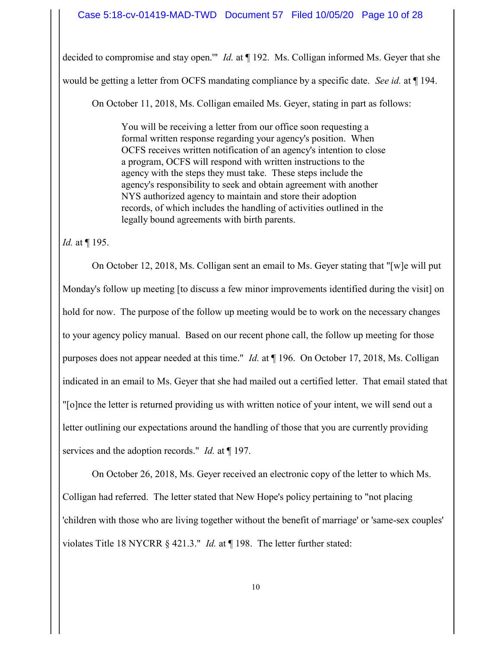decided to compromise and stay open."" *Id.* at ¶ 192. Ms. Colligan informed Ms. Geyer that she would be getting a letter from OCFS mandating compliance by a specific date. See id. at  $\P$  194.

On October 11, 2018, Ms. Colligan emailed Ms. Geyer, stating in part as follows:

You will be receiving a letter from our office soon requesting a formal written response regarding your agency's position. When OCFS receives written notification of an agency's intention to close a program, OCFS will respond with written instructions to the agency with the steps they must take. These steps include the agency's responsibility to seek and obtain agreement with another NYS authorized agency to maintain and store their adoption records, of which includes the handling of activities outlined in the legally bound agreements with birth parents.

Id. at ¶ 195.

On October 12, 2018, Ms. Colligan sent an email to Ms. Geyer stating that "[w]e will put Monday's follow up meeting [to discuss a few minor improvements identified during the visit] on hold for now. The purpose of the follow up meeting would be to work on the necessary changes to your agency policy manual. Based on our recent phone call, the follow up meeting for those purposes does not appear needed at this time." Id. at ¶ 196. On October 17, 2018, Ms. Colligan indicated in an email to Ms. Geyer that she had mailed out a certified letter. That email stated that "[o]nce the letter is returned providing us with written notice of your intent, we will send out a letter outlining our expectations around the handling of those that you are currently providing services and the adoption records." *Id.* at  $\P$  197.

On October 26, 2018, Ms. Geyer received an electronic copy of the letter to which Ms. Colligan had referred. The letter stated that New Hope's policy pertaining to "not placing 'children with those who are living together without the benefit of marriage' or 'same-sex couples' violates Title 18 NYCRR § 421.3." Id. at ¶ 198. The letter further stated: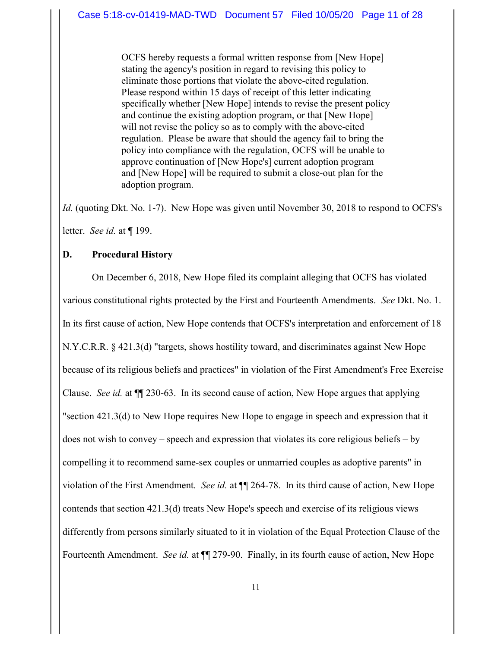OCFS hereby requests a formal written response from [New Hope] stating the agency's position in regard to revising this policy to eliminate those portions that violate the above-cited regulation. Please respond within 15 days of receipt of this letter indicating specifically whether [New Hope] intends to revise the present policy and continue the existing adoption program, or that [New Hope] will not revise the policy so as to comply with the above-cited regulation. Please be aware that should the agency fail to bring the policy into compliance with the regulation, OCFS will be unable to approve continuation of [New Hope's] current adoption program and [New Hope] will be required to submit a close-out plan for the adoption program.

Id. (quoting Dkt. No. 1-7). New Hope was given until November 30, 2018 to respond to OCFS's letter. See id. at ¶ 199.

### D. Procedural History

On December 6, 2018, New Hope filed its complaint alleging that OCFS has violated various constitutional rights protected by the First and Fourteenth Amendments. See Dkt. No. 1. In its first cause of action, New Hope contends that OCFS's interpretation and enforcement of 18 N.Y.C.R.R. § 421.3(d) "targets, shows hostility toward, and discriminates against New Hope because of its religious beliefs and practices" in violation of the First Amendment's Free Exercise Clause. See id. at ¶¶ 230-63. In its second cause of action, New Hope argues that applying "section 421.3(d) to New Hope requires New Hope to engage in speech and expression that it does not wish to convey – speech and expression that violates its core religious beliefs – by compelling it to recommend same-sex couples or unmarried couples as adoptive parents" in violation of the First Amendment. See id. at  $\P$  264-78. In its third cause of action, New Hope contends that section 421.3(d) treats New Hope's speech and exercise of its religious views differently from persons similarly situated to it in violation of the Equal Protection Clause of the Fourteenth Amendment. See id. at  $\P$  279-90. Finally, in its fourth cause of action, New Hope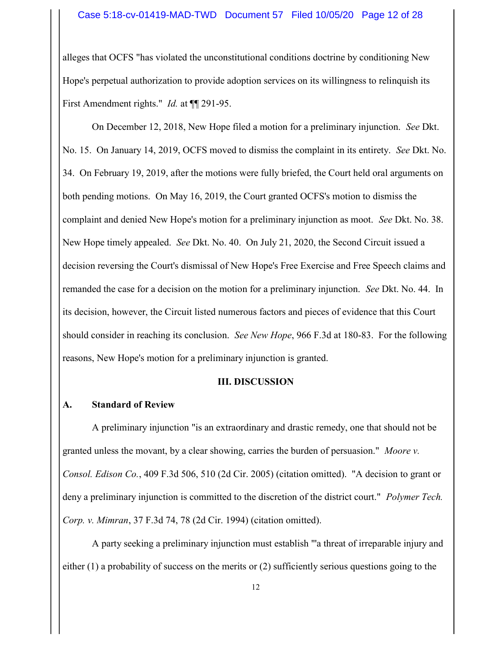alleges that OCFS "has violated the unconstitutional conditions doctrine by conditioning New Hope's perpetual authorization to provide adoption services on its willingness to relinquish its First Amendment rights." *Id.* at  $\P$  291-95.

On December 12, 2018, New Hope filed a motion for a preliminary injunction. See Dkt. No. 15. On January 14, 2019, OCFS moved to dismiss the complaint in its entirety. See Dkt. No. 34. On February 19, 2019, after the motions were fully briefed, the Court held oral arguments on both pending motions. On May 16, 2019, the Court granted OCFS's motion to dismiss the complaint and denied New Hope's motion for a preliminary injunction as moot. See Dkt. No. 38. New Hope timely appealed. See Dkt. No. 40. On July 21, 2020, the Second Circuit issued a decision reversing the Court's dismissal of New Hope's Free Exercise and Free Speech claims and remanded the case for a decision on the motion for a preliminary injunction. See Dkt. No. 44. In its decision, however, the Circuit listed numerous factors and pieces of evidence that this Court should consider in reaching its conclusion. See New Hope, 966 F.3d at 180-83. For the following reasons, New Hope's motion for a preliminary injunction is granted.

#### III. DISCUSSION

#### A. Standard of Review

A preliminary injunction "is an extraordinary and drastic remedy, one that should not be granted unless the movant, by a clear showing, carries the burden of persuasion." Moore v. Consol. Edison Co., 409 F.3d 506, 510 (2d Cir. 2005) (citation omitted). "A decision to grant or deny a preliminary injunction is committed to the discretion of the district court." Polymer Tech. Corp. v. Mimran, 37 F.3d 74, 78 (2d Cir. 1994) (citation omitted).

A party seeking a preliminary injunction must establish "'a threat of irreparable injury and either (1) a probability of success on the merits or (2) sufficiently serious questions going to the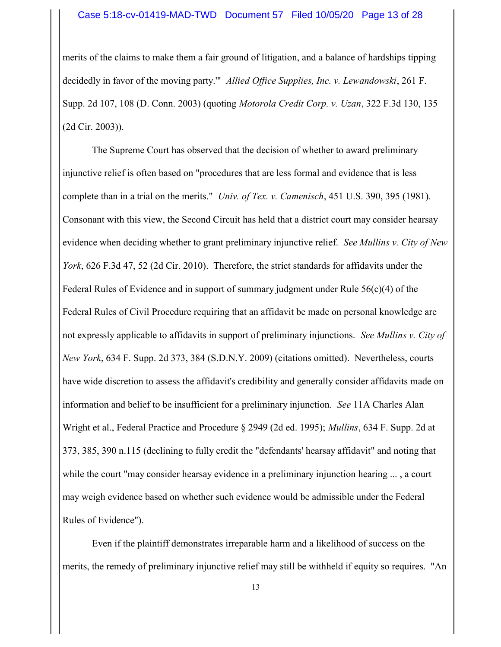merits of the claims to make them a fair ground of litigation, and a balance of hardships tipping decidedly in favor of the moving party." Allied Office Supplies, Inc. v. Lewandowski, 261 F. Supp. 2d 107, 108 (D. Conn. 2003) (quoting Motorola Credit Corp. v. Uzan, 322 F.3d 130, 135 (2d Cir. 2003)).

The Supreme Court has observed that the decision of whether to award preliminary injunctive relief is often based on "procedures that are less formal and evidence that is less complete than in a trial on the merits." Univ. of Tex. v. Camenisch, 451 U.S. 390, 395 (1981). Consonant with this view, the Second Circuit has held that a district court may consider hearsay evidence when deciding whether to grant preliminary injunctive relief. See Mullins v. City of New York, 626 F.3d 47, 52 (2d Cir. 2010). Therefore, the strict standards for affidavits under the Federal Rules of Evidence and in support of summary judgment under Rule 56(c)(4) of the Federal Rules of Civil Procedure requiring that an affidavit be made on personal knowledge are not expressly applicable to affidavits in support of preliminary injunctions. See Mullins v. City of New York, 634 F. Supp. 2d 373, 384 (S.D.N.Y. 2009) (citations omitted). Nevertheless, courts have wide discretion to assess the affidavit's credibility and generally consider affidavits made on information and belief to be insufficient for a preliminary injunction. See 11A Charles Alan Wright et al., Federal Practice and Procedure § 2949 (2d ed. 1995); Mullins, 634 F. Supp. 2d at 373, 385, 390 n.115 (declining to fully credit the "defendants' hearsay affidavit" and noting that while the court "may consider hearsay evidence in a preliminary injunction hearing ..., a court may weigh evidence based on whether such evidence would be admissible under the Federal Rules of Evidence").

Even if the plaintiff demonstrates irreparable harm and a likelihood of success on the merits, the remedy of preliminary injunctive relief may still be withheld if equity so requires. "An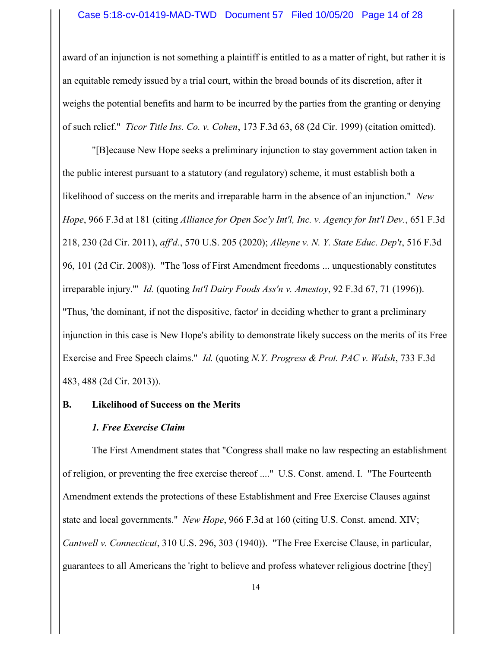#### Case 5:18-cv-01419-MAD-TWD Document 57 Filed 10/05/20 Page 14 of 28

award of an injunction is not something a plaintiff is entitled to as a matter of right, but rather it is an equitable remedy issued by a trial court, within the broad bounds of its discretion, after it weighs the potential benefits and harm to be incurred by the parties from the granting or denying of such relief." Ticor Title Ins. Co. v. Cohen, 173 F.3d 63, 68 (2d Cir. 1999) (citation omitted).

"[B]ecause New Hope seeks a preliminary injunction to stay government action taken in the public interest pursuant to a statutory (and regulatory) scheme, it must establish both a likelihood of success on the merits and irreparable harm in the absence of an injunction." New Hope, 966 F.3d at 181 (citing Alliance for Open Soc'y Int'l, Inc. v. Agency for Int'l Dev., 651 F.3d 218, 230 (2d Cir. 2011), aff'd., 570 U.S. 205 (2020); Alleyne v. N. Y. State Educ. Dep't, 516 F.3d 96, 101 (2d Cir. 2008)). "The 'loss of First Amendment freedoms ... unquestionably constitutes irreparable injury."" Id. (quoting Int'l Dairy Foods Ass'n v. Amestoy, 92 F.3d 67, 71 (1996)). "Thus, 'the dominant, if not the dispositive, factor' in deciding whether to grant a preliminary injunction in this case is New Hope's ability to demonstrate likely success on the merits of its Free Exercise and Free Speech claims." Id. (quoting N.Y. Progress & Prot. PAC v. Walsh, 733 F.3d 483, 488 (2d Cir. 2013)).

#### B. Likelihood of Success on the Merits

#### 1. Free Exercise Claim

The First Amendment states that "Congress shall make no law respecting an establishment of religion, or preventing the free exercise thereof ...." U.S. Const. amend. I. "The Fourteenth Amendment extends the protections of these Establishment and Free Exercise Clauses against state and local governments." New Hope, 966 F.3d at 160 (citing U.S. Const. amend. XIV; Cantwell v. Connecticut, 310 U.S. 296, 303 (1940)). "The Free Exercise Clause, in particular, guarantees to all Americans the 'right to believe and profess whatever religious doctrine [they]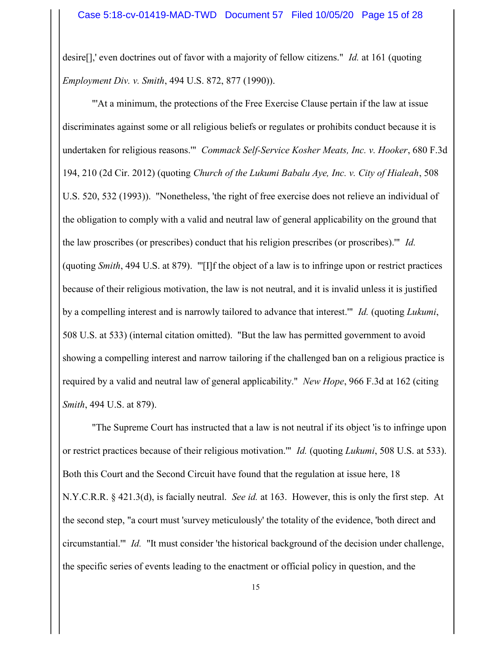desire<sup>[]</sup>,' even doctrines out of favor with a majority of fellow citizens." *Id.* at 161 (quoting Employment Div. v. Smith, 494 U.S. 872, 877 (1990)).

"'At a minimum, the protections of the Free Exercise Clause pertain if the law at issue discriminates against some or all religious beliefs or regulates or prohibits conduct because it is undertaken for religious reasons.'" Commack Self-Service Kosher Meats, Inc. v. Hooker, 680 F.3d 194, 210 (2d Cir. 2012) (quoting Church of the Lukumi Babalu Aye, Inc. v. City of Hialeah, 508 U.S. 520, 532 (1993)). "Nonetheless, 'the right of free exercise does not relieve an individual of the obligation to comply with a valid and neutral law of general applicability on the ground that the law proscribes (or prescribes) conduct that his religion prescribes (or proscribes).'" Id. (quoting Smith, 494 U.S. at 879). "'[I]f the object of a law is to infringe upon or restrict practices because of their religious motivation, the law is not neutral, and it is invalid unless it is justified by a compelling interest and is narrowly tailored to advance that interest." Id. (quoting Lukumi, 508 U.S. at 533) (internal citation omitted). "But the law has permitted government to avoid showing a compelling interest and narrow tailoring if the challenged ban on a religious practice is required by a valid and neutral law of general applicability." New Hope, 966 F.3d at 162 (citing Smith, 494 U.S. at 879).

"The Supreme Court has instructed that a law is not neutral if its object 'is to infringe upon or restrict practices because of their religious motivation.'" Id. (quoting Lukumi, 508 U.S. at 533). Both this Court and the Second Circuit have found that the regulation at issue here, 18 N.Y.C.R.R.  $\S$  421.3(d), is facially neutral. *See id.* at 163. However, this is only the first step. At the second step, "a court must 'survey meticulously' the totality of the evidence, 'both direct and circumstantial.'" Id. "It must consider 'the historical background of the decision under challenge, the specific series of events leading to the enactment or official policy in question, and the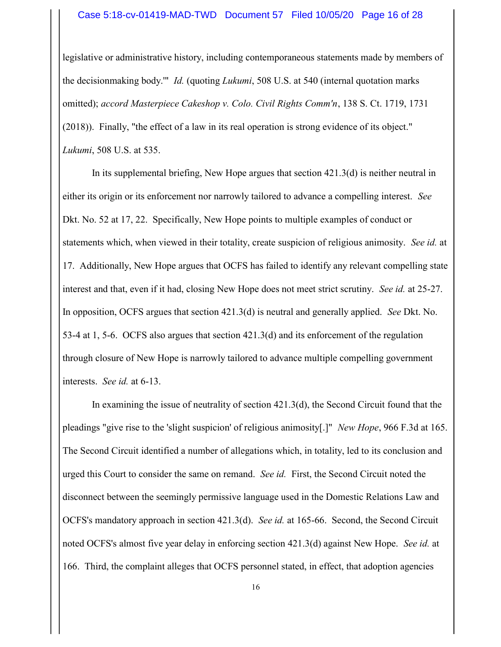#### Case 5:18-cv-01419-MAD-TWD Document 57 Filed 10/05/20 Page 16 of 28

legislative or administrative history, including contemporaneous statements made by members of the decisionmaking body." *Id.* (quoting *Lukumi*, 508 U.S. at 540 (internal quotation marks omitted); accord Masterpiece Cakeshop v. Colo. Civil Rights Comm'n, 138 S. Ct. 1719, 1731 (2018)). Finally, "the effect of a law in its real operation is strong evidence of its object." Lukumi, 508 U.S. at 535.

In its supplemental briefing, New Hope argues that section 421.3(d) is neither neutral in either its origin or its enforcement nor narrowly tailored to advance a compelling interest. See Dkt. No. 52 at 17, 22. Specifically, New Hope points to multiple examples of conduct or statements which, when viewed in their totality, create suspicion of religious animosity. See id. at 17. Additionally, New Hope argues that OCFS has failed to identify any relevant compelling state interest and that, even if it had, closing New Hope does not meet strict scrutiny. See id. at 25-27. In opposition, OCFS argues that section 421.3(d) is neutral and generally applied. See Dkt. No. 53-4 at 1, 5-6. OCFS also argues that section 421.3(d) and its enforcement of the regulation through closure of New Hope is narrowly tailored to advance multiple compelling government interests. See id. at 6-13.

In examining the issue of neutrality of section 421.3(d), the Second Circuit found that the pleadings "give rise to the 'slight suspicion' of religious animosity[.]" New Hope, 966 F.3d at 165. The Second Circuit identified a number of allegations which, in totality, led to its conclusion and urged this Court to consider the same on remand. See id. First, the Second Circuit noted the disconnect between the seemingly permissive language used in the Domestic Relations Law and OCFS's mandatory approach in section 421.3(d). See id. at 165-66. Second, the Second Circuit noted OCFS's almost five year delay in enforcing section 421.3(d) against New Hope. See id. at 166. Third, the complaint alleges that OCFS personnel stated, in effect, that adoption agencies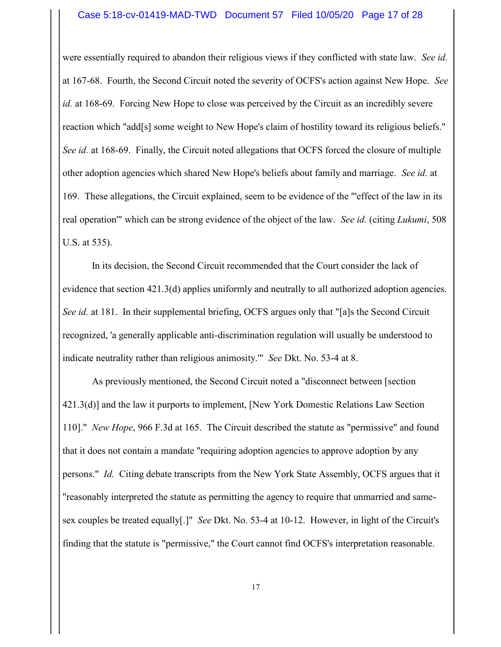were essentially required to abandon their religious views if they conflicted with state law. See id. at 167-68. Fourth, the Second Circuit noted the severity of OCFS's action against New Hope. See id. at 168-69. Forcing New Hope to close was perceived by the Circuit as an incredibly severe reaction which "add[s] some weight to New Hope's claim of hostility toward its religious beliefs." See id. at 168-69. Finally, the Circuit noted allegations that OCFS forced the closure of multiple other adoption agencies which shared New Hope's beliefs about family and marriage. See id. at 169. These allegations, the Circuit explained, seem to be evidence of the "'effect of the law in its real operation'" which can be strong evidence of the object of the law. See id. (citing Lukumi, 508) U.S. at 535).

In its decision, the Second Circuit recommended that the Court consider the lack of evidence that section 421.3(d) applies uniformly and neutrally to all authorized adoption agencies. See id. at 181. In their supplemental briefing, OCFS argues only that "[a]s the Second Circuit recognized, 'a generally applicable anti-discrimination regulation will usually be understood to indicate neutrality rather than religious animosity.'" See Dkt. No. 53-4 at 8.

As previously mentioned, the Second Circuit noted a "disconnect between [section 421.3(d)] and the law it purports to implement, [New York Domestic Relations Law Section 110]." New Hope, 966 F.3d at 165. The Circuit described the statute as "permissive" and found that it does not contain a mandate "requiring adoption agencies to approve adoption by any persons." Id. Citing debate transcripts from the New York State Assembly, OCFS argues that it "reasonably interpreted the statute as permitting the agency to require that unmarried and samesex couples be treated equally[.]" See Dkt. No. 53-4 at 10-12. However, in light of the Circuit's finding that the statute is "permissive," the Court cannot find OCFS's interpretation reasonable.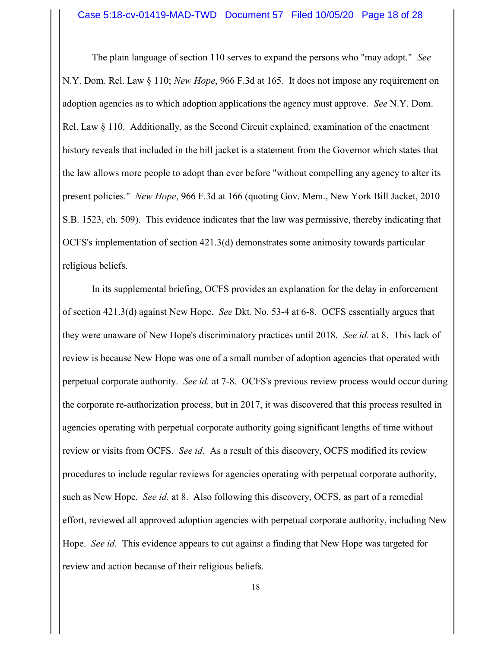The plain language of section 110 serves to expand the persons who "may adopt." See N.Y. Dom. Rel. Law § 110; New Hope, 966 F.3d at 165. It does not impose any requirement on adoption agencies as to which adoption applications the agency must approve. See N.Y. Dom. Rel. Law § 110. Additionally, as the Second Circuit explained, examination of the enactment history reveals that included in the bill jacket is a statement from the Governor which states that the law allows more people to adopt than ever before "without compelling any agency to alter its present policies." New Hope, 966 F.3d at 166 (quoting Gov. Mem., New York Bill Jacket, 2010 S.B. 1523, ch. 509). This evidence indicates that the law was permissive, thereby indicating that OCFS's implementation of section 421.3(d) demonstrates some animosity towards particular religious beliefs.

In its supplemental briefing, OCFS provides an explanation for the delay in enforcement of section 421.3(d) against New Hope. See Dkt. No. 53-4 at 6-8. OCFS essentially argues that they were unaware of New Hope's discriminatory practices until 2018. See id. at 8. This lack of review is because New Hope was one of a small number of adoption agencies that operated with perpetual corporate authority. See id. at 7-8. OCFS's previous review process would occur during the corporate re-authorization process, but in 2017, it was discovered that this process resulted in agencies operating with perpetual corporate authority going significant lengths of time without review or visits from OCFS. See id. As a result of this discovery, OCFS modified its review procedures to include regular reviews for agencies operating with perpetual corporate authority, such as New Hope. See id. at 8. Also following this discovery, OCFS, as part of a remedial effort, reviewed all approved adoption agencies with perpetual corporate authority, including New Hope. See id. This evidence appears to cut against a finding that New Hope was targeted for review and action because of their religious beliefs.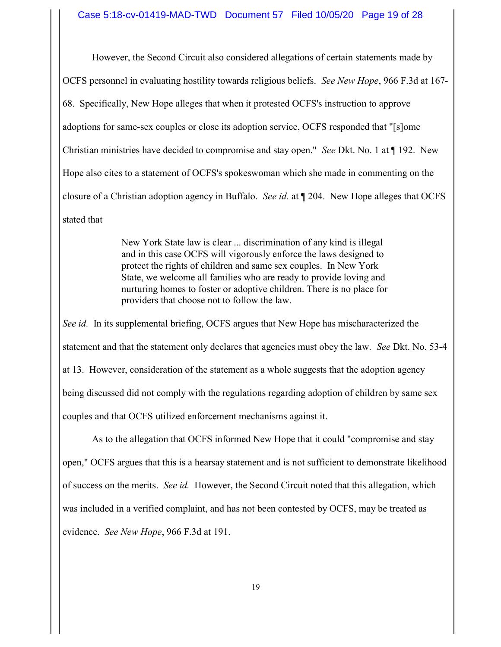However, the Second Circuit also considered allegations of certain statements made by OCFS personnel in evaluating hostility towards religious beliefs. See New Hope, 966 F.3d at 167- 68. Specifically, New Hope alleges that when it protested OCFS's instruction to approve adoptions for same-sex couples or close its adoption service, OCFS responded that "[s]ome Christian ministries have decided to compromise and stay open." See Dkt. No. 1 at ¶ 192. New Hope also cites to a statement of OCFS's spokeswoman which she made in commenting on the closure of a Christian adoption agency in Buffalo. See id. at ¶ 204. New Hope alleges that OCFS stated that

> New York State law is clear ... discrimination of any kind is illegal and in this case OCFS will vigorously enforce the laws designed to protect the rights of children and same sex couples. In New York State, we welcome all families who are ready to provide loving and nurturing homes to foster or adoptive children. There is no place for providers that choose not to follow the law.

See id. In its supplemental briefing, OCFS argues that New Hope has mischaracterized the statement and that the statement only declares that agencies must obey the law. See Dkt. No. 53-4 at 13. However, consideration of the statement as a whole suggests that the adoption agency being discussed did not comply with the regulations regarding adoption of children by same sex couples and that OCFS utilized enforcement mechanisms against it.

As to the allegation that OCFS informed New Hope that it could "compromise and stay open," OCFS argues that this is a hearsay statement and is not sufficient to demonstrate likelihood of success on the merits. See id. However, the Second Circuit noted that this allegation, which was included in a verified complaint, and has not been contested by OCFS, may be treated as evidence. See New Hope, 966 F.3d at 191.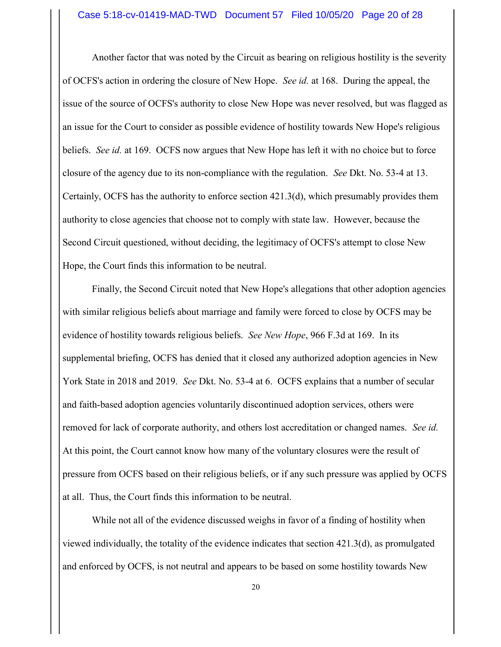Another factor that was noted by the Circuit as bearing on religious hostility is the severity of OCFS's action in ordering the closure of New Hope. See id. at 168. During the appeal, the issue of the source of OCFS's authority to close New Hope was never resolved, but was flagged as an issue for the Court to consider as possible evidence of hostility towards New Hope's religious beliefs. *See id.* at 169. OCFS now argues that New Hope has left it with no choice but to force closure of the agency due to its non-compliance with the regulation. See Dkt. No. 53-4 at 13. Certainly, OCFS has the authority to enforce section 421.3(d), which presumably provides them authority to close agencies that choose not to comply with state law. However, because the Second Circuit questioned, without deciding, the legitimacy of OCFS's attempt to close New Hope, the Court finds this information to be neutral.

Finally, the Second Circuit noted that New Hope's allegations that other adoption agencies with similar religious beliefs about marriage and family were forced to close by OCFS may be evidence of hostility towards religious beliefs. See New Hope, 966 F.3d at 169. In its supplemental briefing, OCFS has denied that it closed any authorized adoption agencies in New York State in 2018 and 2019. See Dkt. No. 53-4 at 6. OCFS explains that a number of secular and faith-based adoption agencies voluntarily discontinued adoption services, others were removed for lack of corporate authority, and others lost accreditation or changed names. See id. At this point, the Court cannot know how many of the voluntary closures were the result of pressure from OCFS based on their religious beliefs, or if any such pressure was applied by OCFS at all. Thus, the Court finds this information to be neutral.

While not all of the evidence discussed weighs in favor of a finding of hostility when viewed individually, the totality of the evidence indicates that section 421.3(d), as promulgated and enforced by OCFS, is not neutral and appears to be based on some hostility towards New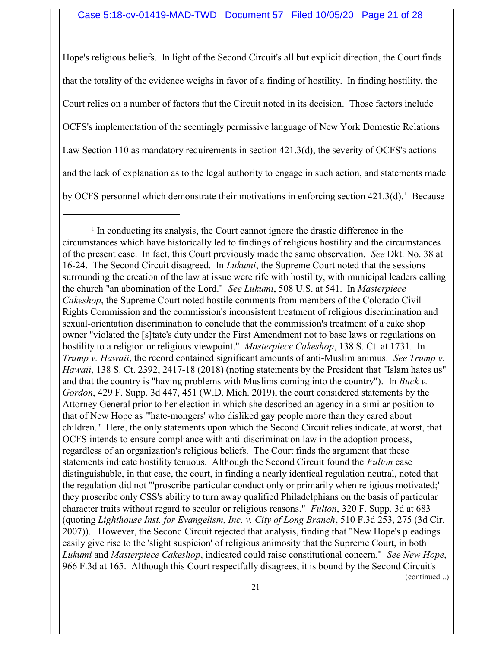Hope's religious beliefs. In light of the Second Circuit's all but explicit direction, the Court finds that the totality of the evidence weighs in favor of a finding of hostility. In finding hostility, the Court relies on a number of factors that the Circuit noted in its decision. Those factors include OCFS's implementation of the seemingly permissive language of New York Domestic Relations Law Section 110 as mandatory requirements in section 421.3(d), the severity of OCFS's actions and the lack of explanation as to the legal authority to engage in such action, and statements made by OCFS personnel which demonstrate their motivations in enforcing section  $421.3(d)$ .<sup>1</sup> Because

(continued...)

<sup>&</sup>lt;sup>1</sup> In conducting its analysis, the Court cannot ignore the drastic difference in the circumstances which have historically led to findings of religious hostility and the circumstances of the present case. In fact, this Court previously made the same observation. See Dkt. No. 38 at 16-24. The Second Circuit disagreed. In Lukumi, the Supreme Court noted that the sessions surrounding the creation of the law at issue were rife with hostility, with municipal leaders calling the church "an abomination of the Lord." See Lukumi, 508 U.S. at 541. In Masterpiece Cakeshop, the Supreme Court noted hostile comments from members of the Colorado Civil Rights Commission and the commission's inconsistent treatment of religious discrimination and sexual-orientation discrimination to conclude that the commission's treatment of a cake shop owner "violated the [s]tate's duty under the First Amendment not to base laws or regulations on hostility to a religion or religious viewpoint." Masterpiece Cakeshop, 138 S. Ct. at 1731. In Trump v. Hawaii, the record contained significant amounts of anti-Muslim animus. See Trump v. Hawaii, 138 S. Ct. 2392, 2417-18 (2018) (noting statements by the President that "Islam hates us" and that the country is "having problems with Muslims coming into the country"). In Buck v. Gordon, 429 F. Supp. 3d 447, 451 (W.D. Mich. 2019), the court considered statements by the Attorney General prior to her election in which she described an agency in a similar position to that of New Hope as "'hate-mongers' who disliked gay people more than they cared about children." Here, the only statements upon which the Second Circuit relies indicate, at worst, that OCFS intends to ensure compliance with anti-discrimination law in the adoption process, regardless of an organization's religious beliefs. The Court finds the argument that these statements indicate hostility tenuous. Although the Second Circuit found the Fulton case distinguishable, in that case, the court, in finding a nearly identical regulation neutral, noted that the regulation did not "'proscribe particular conduct only or primarily when religious motivated;' they proscribe only CSS's ability to turn away qualified Philadelphians on the basis of particular character traits without regard to secular or religious reasons." Fulton, 320 F. Supp. 3d at 683 (quoting Lighthouse Inst. for Evangelism, Inc. v. City of Long Branch, 510 F.3d 253, 275 (3d Cir. 2007)). However, the Second Circuit rejected that analysis, finding that "New Hope's pleadings easily give rise to the 'slight suspicion' of religious animosity that the Supreme Court, in both Lukumi and Masterpiece Cakeshop, indicated could raise constitutional concern." See New Hope, 966 F.3d at 165. Although this Court respectfully disagrees, it is bound by the Second Circuit's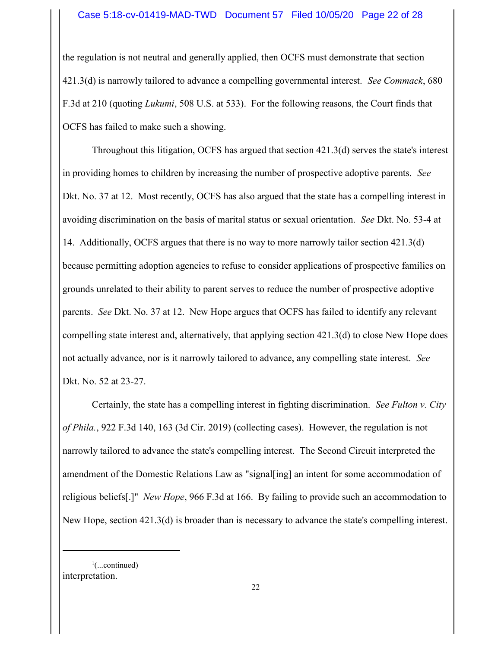the regulation is not neutral and generally applied, then OCFS must demonstrate that section 421.3(d) is narrowly tailored to advance a compelling governmental interest. See Commack, 680 F.3d at 210 (quoting Lukumi, 508 U.S. at 533). For the following reasons, the Court finds that OCFS has failed to make such a showing.

Throughout this litigation, OCFS has argued that section 421.3(d) serves the state's interest in providing homes to children by increasing the number of prospective adoptive parents. See Dkt. No. 37 at 12. Most recently, OCFS has also argued that the state has a compelling interest in avoiding discrimination on the basis of marital status or sexual orientation. See Dkt. No. 53-4 at 14. Additionally, OCFS argues that there is no way to more narrowly tailor section 421.3(d) because permitting adoption agencies to refuse to consider applications of prospective families on grounds unrelated to their ability to parent serves to reduce the number of prospective adoptive parents. See Dkt. No. 37 at 12. New Hope argues that OCFS has failed to identify any relevant compelling state interest and, alternatively, that applying section 421.3(d) to close New Hope does not actually advance, nor is it narrowly tailored to advance, any compelling state interest. See Dkt. No. 52 at 23-27.

Certainly, the state has a compelling interest in fighting discrimination. See Fulton v. City of Phila., 922 F.3d 140, 163 (3d Cir. 2019) (collecting cases). However, the regulation is not narrowly tailored to advance the state's compelling interest. The Second Circuit interpreted the amendment of the Domestic Relations Law as "signal[ing] an intent for some accommodation of religious beliefs[.]" New Hope, 966 F.3d at 166. By failing to provide such an accommodation to New Hope, section 421.3(d) is broader than is necessary to advance the state's compelling interest.

 $\cdot$ <sup>1</sup>(...continued) interpretation.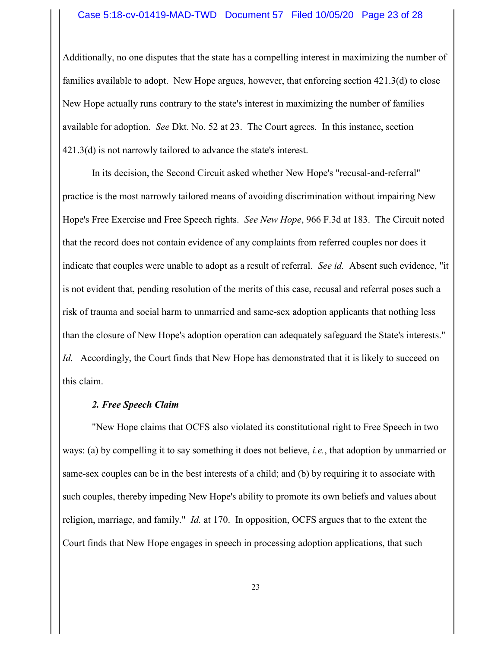#### Case 5:18-cv-01419-MAD-TWD Document 57 Filed 10/05/20 Page 23 of 28

Additionally, no one disputes that the state has a compelling interest in maximizing the number of families available to adopt. New Hope argues, however, that enforcing section 421.3(d) to close New Hope actually runs contrary to the state's interest in maximizing the number of families available for adoption. See Dkt. No. 52 at 23. The Court agrees. In this instance, section 421.3(d) is not narrowly tailored to advance the state's interest.

In its decision, the Second Circuit asked whether New Hope's "recusal-and-referral" practice is the most narrowly tailored means of avoiding discrimination without impairing New Hope's Free Exercise and Free Speech rights. See New Hope, 966 F.3d at 183. The Circuit noted that the record does not contain evidence of any complaints from referred couples nor does it indicate that couples were unable to adopt as a result of referral. See id. Absent such evidence, "it is not evident that, pending resolution of the merits of this case, recusal and referral poses such a risk of trauma and social harm to unmarried and same-sex adoption applicants that nothing less than the closure of New Hope's adoption operation can adequately safeguard the State's interests." Id. Accordingly, the Court finds that New Hope has demonstrated that it is likely to succeed on this claim.

#### 2. Free Speech Claim

"New Hope claims that OCFS also violated its constitutional right to Free Speech in two ways: (a) by compelling it to say something it does not believe, i.e., that adoption by unmarried or same-sex couples can be in the best interests of a child; and (b) by requiring it to associate with such couples, thereby impeding New Hope's ability to promote its own beliefs and values about religion, marriage, and family." Id. at 170. In opposition, OCFS argues that to the extent the Court finds that New Hope engages in speech in processing adoption applications, that such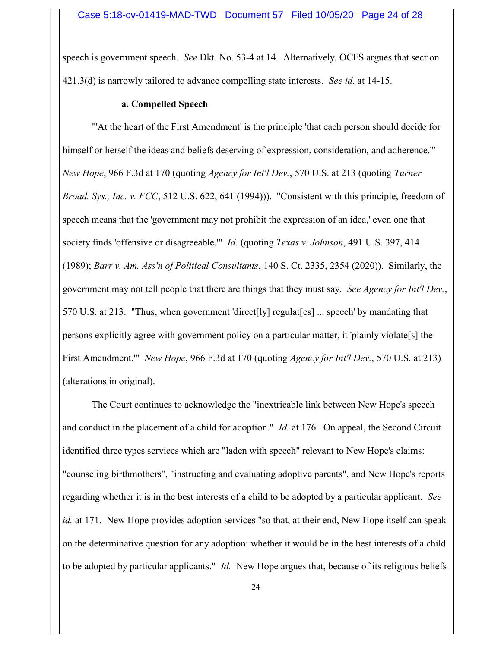speech is government speech. See Dkt. No. 53-4 at 14. Alternatively, OCFS argues that section 421.3(d) is narrowly tailored to advance compelling state interests. See id. at 14-15.

#### a. Compelled Speech

"'At the heart of the First Amendment' is the principle 'that each person should decide for himself or herself the ideas and beliefs deserving of expression, consideration, and adherence.'" New Hope, 966 F.3d at 170 (quoting Agency for Int'l Dev., 570 U.S. at 213 (quoting Turner Broad. Sys., Inc. v. FCC, 512 U.S. 622, 641 (1994)). "Consistent with this principle, freedom of speech means that the 'government may not prohibit the expression of an idea,' even one that society finds 'offensive or disagreeable.'" *Id.* (quoting *Texas v. Johnson*, 491 U.S. 397, 414 (1989); Barr v. Am. Ass'n of Political Consultants, 140 S. Ct. 2335, 2354 (2020)). Similarly, the government may not tell people that there are things that they must say. See Agency for Int'l Dev., 570 U.S. at 213. "Thus, when government 'direct[ly] regulat[es] ... speech' by mandating that persons explicitly agree with government policy on a particular matter, it 'plainly violate[s] the First Amendment." *New Hope*, 966 F.3d at 170 (quoting *Agency for Int'l Dev.*, 570 U.S. at 213) (alterations in original).

The Court continues to acknowledge the "inextricable link between New Hope's speech and conduct in the placement of a child for adoption." Id. at 176. On appeal, the Second Circuit identified three types services which are "laden with speech" relevant to New Hope's claims: "counseling birthmothers", "instructing and evaluating adoptive parents", and New Hope's reports regarding whether it is in the best interests of a child to be adopted by a particular applicant. See id. at 171. New Hope provides adoption services "so that, at their end, New Hope itself can speak on the determinative question for any adoption: whether it would be in the best interests of a child to be adopted by particular applicants." Id. New Hope argues that, because of its religious beliefs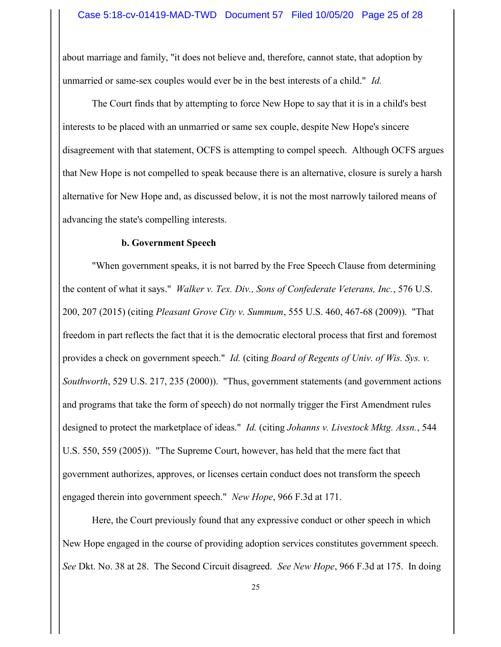about marriage and family, "it does not believe and, therefore, cannot state, that adoption by unmarried or same-sex couples would ever be in the best interests of a child." Id.

The Court finds that by attempting to force New Hope to say that it is in a child's best interests to be placed with an unmarried or same sex couple, despite New Hope's sincere disagreement with that statement, OCFS is attempting to compel speech. Although OCFS argues that New Hope is not compelled to speak because there is an alternative, closure is surely a harsh alternative for New Hope and, as discussed below, it is not the most narrowly tailored means of advancing the state's compelling interests.

#### b. Government Speech

"When government speaks, it is not barred by the Free Speech Clause from determining the content of what it says." *Walker v. Tex. Div., Sons of Confederate Veterans, Inc.*, 576 U.S. 200, 207 (2015) (citing Pleasant Grove City v. Summum, 555 U.S. 460, 467-68 (2009)). "That freedom in part reflects the fact that it is the democratic electoral process that first and foremost provides a check on government speech." Id. (citing Board of Regents of Univ. of Wis. Sys. v. Southworth, 529 U.S. 217, 235 (2000)). "Thus, government statements (and government actions and programs that take the form of speech) do not normally trigger the First Amendment rules designed to protect the marketplace of ideas." *Id.* (citing *Johanns v. Livestock Mktg. Assn.*, 544 U.S. 550, 559 (2005)). "The Supreme Court, however, has held that the mere fact that government authorizes, approves, or licenses certain conduct does not transform the speech engaged therein into government speech." New Hope, 966 F.3d at 171.

Here, the Court previously found that any expressive conduct or other speech in which New Hope engaged in the course of providing adoption services constitutes government speech. See Dkt. No. 38 at 28. The Second Circuit disagreed. See New Hope, 966 F.3d at 175. In doing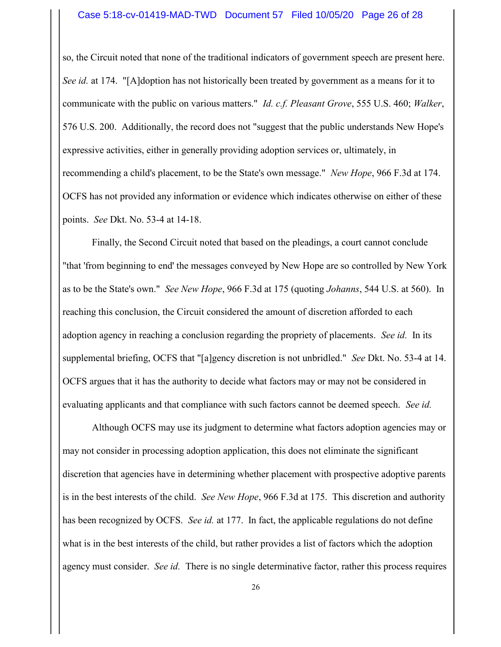so, the Circuit noted that none of the traditional indicators of government speech are present here. See id. at 174. "[A]doption has not historically been treated by government as a means for it to communicate with the public on various matters." *Id. c.f. Pleasant Grove*, 555 U.S. 460; *Walker*, 576 U.S. 200. Additionally, the record does not "suggest that the public understands New Hope's expressive activities, either in generally providing adoption services or, ultimately, in recommending a child's placement, to be the State's own message." New Hope, 966 F.3d at 174. OCFS has not provided any information or evidence which indicates otherwise on either of these points. See Dkt. No. 53-4 at 14-18.

Finally, the Second Circuit noted that based on the pleadings, a court cannot conclude "that 'from beginning to end' the messages conveyed by New Hope are so controlled by New York as to be the State's own." See New Hope, 966 F.3d at 175 (quoting Johanns, 544 U.S. at 560). In reaching this conclusion, the Circuit considered the amount of discretion afforded to each adoption agency in reaching a conclusion regarding the propriety of placements. See id. In its supplemental briefing, OCFS that "[a]gency discretion is not unbridled." See Dkt. No. 53-4 at 14. OCFS argues that it has the authority to decide what factors may or may not be considered in evaluating applicants and that compliance with such factors cannot be deemed speech. See id.

Although OCFS may use its judgment to determine what factors adoption agencies may or may not consider in processing adoption application, this does not eliminate the significant discretion that agencies have in determining whether placement with prospective adoptive parents is in the best interests of the child. See New Hope, 966 F.3d at 175. This discretion and authority has been recognized by OCFS. See id. at 177. In fact, the applicable regulations do not define what is in the best interests of the child, but rather provides a list of factors which the adoption agency must consider. See id. There is no single determinative factor, rather this process requires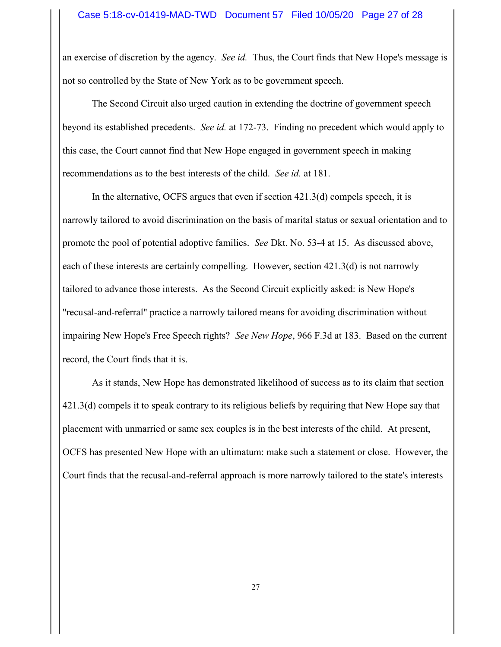an exercise of discretion by the agency. See id. Thus, the Court finds that New Hope's message is not so controlled by the State of New York as to be government speech.

The Second Circuit also urged caution in extending the doctrine of government speech beyond its established precedents. See id. at 172-73. Finding no precedent which would apply to this case, the Court cannot find that New Hope engaged in government speech in making recommendations as to the best interests of the child. See id. at 181.

In the alternative, OCFS argues that even if section 421.3(d) compels speech, it is narrowly tailored to avoid discrimination on the basis of marital status or sexual orientation and to promote the pool of potential adoptive families. See Dkt. No. 53-4 at 15. As discussed above, each of these interests are certainly compelling. However, section  $421.3(d)$  is not narrowly tailored to advance those interests. As the Second Circuit explicitly asked: is New Hope's "recusal-and-referral" practice a narrowly tailored means for avoiding discrimination without impairing New Hope's Free Speech rights? See New Hope, 966 F.3d at 183. Based on the current record, the Court finds that it is.

As it stands, New Hope has demonstrated likelihood of success as to its claim that section 421.3(d) compels it to speak contrary to its religious beliefs by requiring that New Hope say that placement with unmarried or same sex couples is in the best interests of the child. At present, OCFS has presented New Hope with an ultimatum: make such a statement or close. However, the Court finds that the recusal-and-referral approach is more narrowly tailored to the state's interests